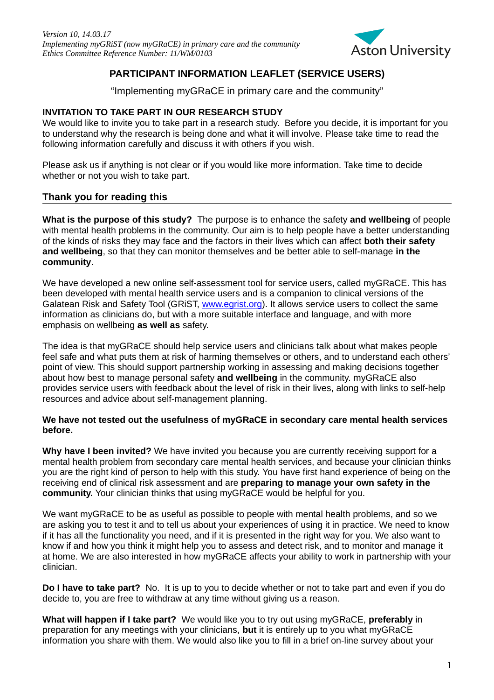

# **PARTICIPANT INFORMATION LEAFLET (SERVICE USERS)**

"Implementing myGRaCE in primary care and the community"

## **INVITATION TO TAKE PART IN OUR RESEARCH STUDY**

We would like to invite you to take part in a research study. Before you decide, it is important for you to understand why the research is being done and what it will involve. Please take time to read the following information carefully and discuss it with others if you wish.

Please ask us if anything is not clear or if you would like more information. Take time to decide whether or not you wish to take part.

## **Thank you for reading this**

**What is the purpose of this study?** The purpose is to enhance the safety **and wellbeing** of people with mental health problems in the community. Our aim is to help people have a better understanding of the kinds of risks they may face and the factors in their lives which can affect **both their safety and wellbeing**, so that they can monitor themselves and be better able to self-manage **in the community**.

We have developed a new online self-assessment tool for service users, called myGRaCE. This has been developed with mental health service users and is a companion to clinical versions of the Galatean Risk and Safety Tool (GRIST, [www.egrist.org\)](http://www.egrist.org/). It allows service users to collect the same information as clinicians do, but with a more suitable interface and language, and with more emphasis on wellbeing **as well as** safety.

The idea is that myGRaCE should help service users and clinicians talk about what makes people feel safe and what puts them at risk of harming themselves or others, and to understand each others' point of view. This should support partnership working in assessing and making decisions together about how best to manage personal safety **and wellbeing** in the community. myGRaCE also provides service users with feedback about the level of risk in their lives, along with links to self-help resources and advice about self-management planning.

#### **We have not tested out the usefulness of myGRaCE in secondary care mental health services before.**

**Why have I been invited?** We have invited you because you are currently receiving support for a mental health problem from secondary care mental health services, and because your clinician thinks you are the right kind of person to help with this study. You have first hand experience of being on the receiving end of clinical risk assessment and are **preparing to manage your own safety in the community.** Your clinician thinks that using myGRaCE would be helpful for you.

We want myGRaCE to be as useful as possible to people with mental health problems, and so we are asking you to test it and to tell us about your experiences of using it in practice. We need to know if it has all the functionality you need, and if it is presented in the right way for you. We also want to know if and how you think it might help you to assess and detect risk, and to monitor and manage it at home. We are also interested in how myGRaCE affects your ability to work in partnership with your clinician.

**Do I have to take part?** No. It is up to you to decide whether or not to take part and even if you do decide to, you are free to withdraw at any time without giving us a reason.

**What will happen if I take part?** We would like you to try out using myGRaCE, **preferably** in preparation for any meetings with your clinicians, **but** it is entirely up to you what myGRaCE information you share with them. We would also like you to fill in a brief on-line survey about your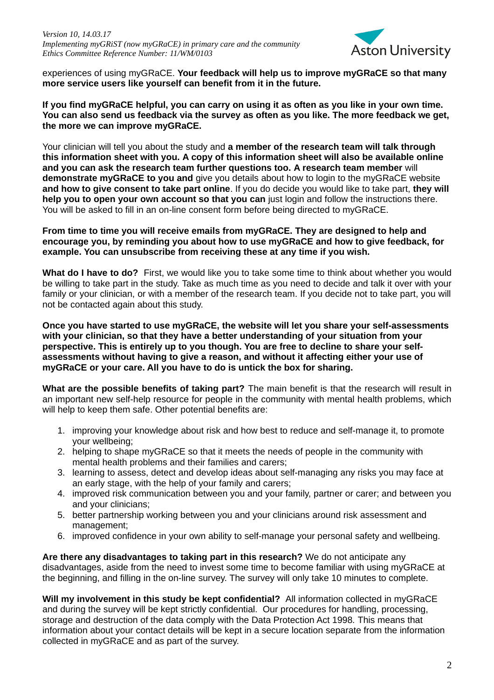

experiences of using myGRaCE. **Your feedback will help us to improve myGRaCE so that many more service users like yourself can benefit from it in the future.**

**If you find myGRaCE helpful, you can carry on using it as often as you like in your own time. You can also send us feedback via the survey as often as you like. The more feedback we get, the more we can improve myGRaCE.**

Your clinician will tell you about the study and **a member of the research team will talk through this information sheet with you. A copy of this information sheet will also be available online and you can ask the research team further questions too. A research team member** will **demonstrate myGRaCE to you and** give you details about how to login to the myGRaCE website **and how to give consent to take part online**. If you do decide you would like to take part, **they will help you to open your own account so that you can** just login and follow the instructions there. You will be asked to fill in an on-line consent form before being directed to myGRaCE.

#### **From time to time you will receive emails from myGRaCE. They are designed to help and encourage you, by reminding you about how to use myGRaCE and how to give feedback, for example. You can unsubscribe from receiving these at any time if you wish.**

**What do I have to do?** First, we would like you to take some time to think about whether you would be willing to take part in the study. Take as much time as you need to decide and talk it over with your family or your clinician, or with a member of the research team. If you decide not to take part, you will not be contacted again about this study.

**Once you have started to use myGRaCE, the website will let you share your self-assessments with your clinician, so that they have a better understanding of your situation from your perspective. This is entirely up to you though. You are free to decline to share your selfassessments without having to give a reason, and without it affecting either your use of myGRaCE or your care. All you have to do is untick the box for sharing.**

**What are the possible benefits of taking part?** The main benefit is that the research will result in an important new self-help resource for people in the community with mental health problems, which will help to keep them safe. Other potential benefits are:

- 1. improving your knowledge about risk and how best to reduce and self-manage it, to promote your wellbeing;
- 2. helping to shape myGRaCE so that it meets the needs of people in the community with mental health problems and their families and carers;
- 3. learning to assess, detect and develop ideas about self-managing any risks you may face at an early stage, with the help of your family and carers;
- 4. improved risk communication between you and your family, partner or carer; and between you and your clinicians;
- 5. better partnership working between you and your clinicians around risk assessment and management;
- 6. improved confidence in your own ability to self-manage your personal safety and wellbeing.

**Are there any disadvantages to taking part in this research?** We do not anticipate any disadvantages, aside from the need to invest some time to become familiar with using myGRaCE at the beginning, and filling in the on-line survey. The survey will only take 10 minutes to complete.

**Will my involvement in this study be kept confidential?** All information collected in myGRaCE and during the survey will be kept strictly confidential. Our procedures for handling, processing, storage and destruction of the data comply with the Data Protection Act 1998*.* This means that information about your contact details will be kept in a secure location separate from the information collected in myGRaCE and as part of the survey.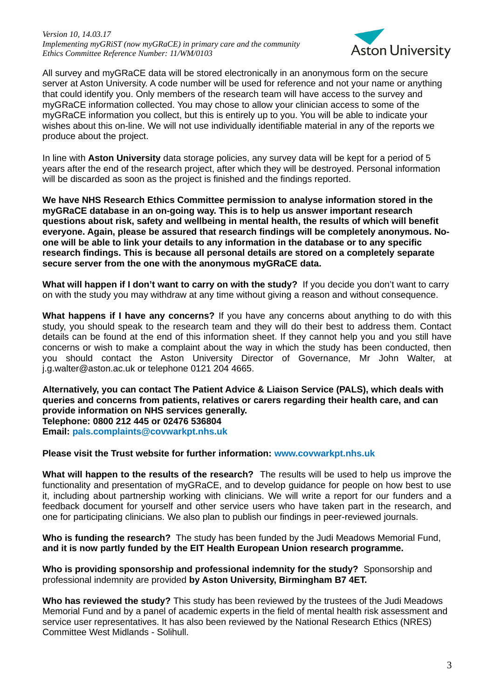

All survey and myGRaCE data will be stored electronically in an anonymous form on the secure server at Aston University. A code number will be used for reference and not your name or anything that could identify you. Only members of the research team will have access to the survey and myGRaCE information collected. You may chose to allow your clinician access to some of the myGRaCE information you collect, but this is entirely up to you. You will be able to indicate your wishes about this on-line. We will not use individually identifiable material in any of the reports we produce about the project.

In line with **Aston University** data storage policies, any survey data will be kept for a period of 5 years after the end of the research project, after which they will be destroyed. Personal information will be discarded as soon as the project is finished and the findings reported.

**We have NHS Research Ethics Committee permission to analyse information stored in the myGRaCE database in an on-going way. This is to help us answer important research questions about risk, safety and wellbeing in mental health, the results of which will benefit everyone. Again, please be assured that research findings will be completely anonymous. Noone will be able to link your details to any information in the database or to any specific research findings. This is because all personal details are stored on a completely separate secure server from the one with the anonymous myGRaCE data.** 

**What will happen if I don't want to carry on with the study?** If you decide you don't want to carry on with the study you may withdraw at any time without giving a reason and without consequence.

**What happens if I have any concerns?** If you have any concerns about anything to do with this study, you should speak to the research team and they will do their best to address them. Contact details can be found at the end of this information sheet. If they cannot help you and you still have concerns or wish to make a complaint about the way in which the study has been conducted, then you should contact the Aston University Director of Governance, Mr John Walter, at j.g.walter@aston.ac.uk or telephone 0121 204 4665.

**Alternatively, you can contact The Patient Advice & Liaison Service (PALS), which deals with queries and concerns from patients, relatives or carers regarding their health care, and can provide information on NHS services generally. Telephone: 0800 212 445 or 02476 536804 Email: [pals.complaints@covwarkpt.nhs.uk](mailto:pals.complaints@covwarkpt.nhs.uk)**

#### **Please visit the Trust website for further information: [www.covwarkpt.nhs.uk](http://www.covwarkpt.nhs.uk/)**

**What will happen to the results of the research?** The results will be used to help us improve the functionality and presentation of myGRaCE, and to develop guidance for people on how best to use it, including about partnership working with clinicians. We will write a report for our funders and a feedback document for yourself and other service users who have taken part in the research, and one for participating clinicians. We also plan to publish our findings in peer-reviewed journals.

**Who is funding the research?** The study has been funded by the Judi Meadows Memorial Fund, **and it is now partly funded by the EIT Health European Union research programme.**

**Who is providing sponsorship and professional indemnity for the study?** Sponsorship and professional indemnity are provided **by Aston University, Birmingham B7 4ET.**

**Who has reviewed the study?** This study has been reviewed by the trustees of the Judi Meadows Memorial Fund and by a panel of academic experts in the field of mental health risk assessment and service user representatives. It has also been reviewed by the National Research Ethics (NRES) Committee West Midlands - Solihull.